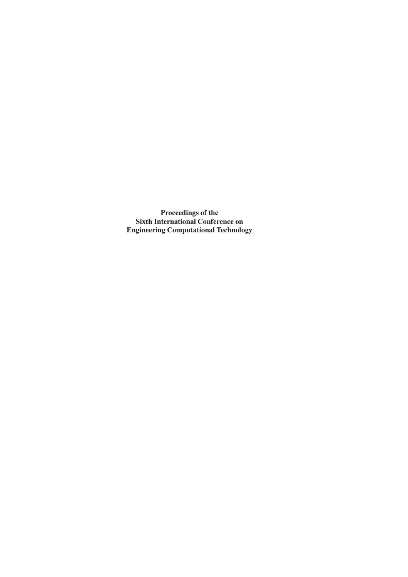**Proceedings of the Sixth International Conference on Engineering Computational Technology**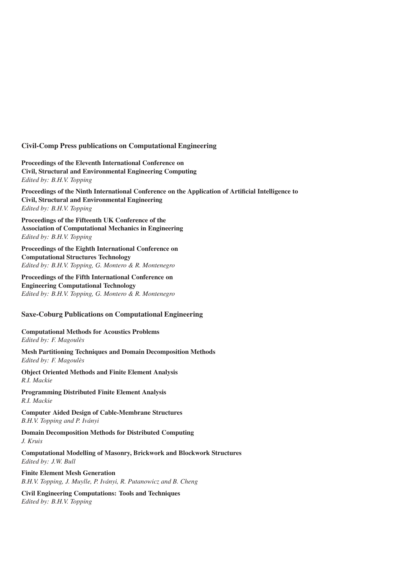# **Civil-Comp Press publications on Computational Engineering**

**Proceedings of the Eleventh International Conference on Civil, Structural and Environmental Engineering Computing** *Edited by: B.H.V. Topping*

**Proceedings of the Ninth International Conference on the Application of Artificial Intelligence to Civil, Structural and Environmental Engineering** *Edited by: B.H.V. Topping*

**Proceedings of the Fifteenth UK Conference of the Association of Computational Mechanics in Engineering** *Edited by: B.H.V. Topping*

**Proceedings of the Eighth International Conference on Computational Structures Technology** *Edited by: B.H.V. Topping, G. Montero & R. Montenegro*

**Proceedings of the Fifth International Conference on Engineering Computational Technology** *Edited by: B.H.V. Topping, G. Montero & R. Montenegro*

# **Saxe-Coburg Publications on Computational Engineering**

# **Computational Methods for Acoustics Problems**

*Edited by: F. Magoulès*

**Mesh Partitioning Techniques and Domain Decomposition Methods** *Edited by: F. Magoulès*

**Object Oriented Methods and Finite Element Analysis** *R.I. Mackie*

**Programming Distributed Finite Element Analysis** *R.I. Mackie*

**Computer Aided Design of Cable-Membrane Structures** *B.H.V. Topping and P. Iványi*

**Domain Decomposition Methods for Distributed Computing** *J. Kruis*

**Computational Modelling of Masonry, Brickwork and Blockwork Structures** *Edited by: J.W. Bull*

**Finite Element Mesh Generation** *B.H.V. Topping, J. Muylle, P. Iványi, R. Putanowicz and B. Cheng*

**Civil Engineering Computations: Tools and Techniques** *Edited by: B.H.V. Topping*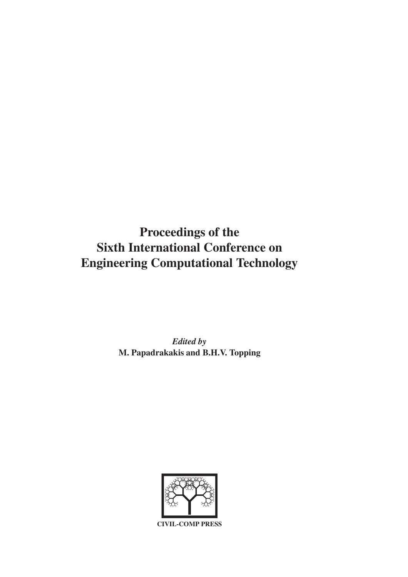# **Proceedings of the Sixth International Conference on Engineering Computational Technology**

*Edited by* **M. Papadrakakis and B.H.V. Topping**



**CIVIL-COMP PRESS**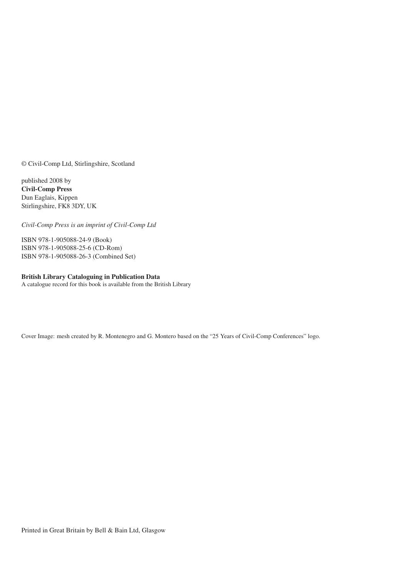© Civil-Comp Ltd, Stirlingshire, Scotland

published 2008 by **Civil-Comp Press** Dun Eaglais, Kippen Stirlingshire, FK8 3DY, UK

*Civil-Comp Press is an imprint of Civil-Comp Ltd*

ISBN 978-1-905088-24-9 (Book) ISBN 978-1-905088-25-6 (CD-Rom) ISBN 978-1-905088-26-3 (Combined Set)

### **British Library Cataloguing in Publication Data**

A catalogue record for this book is available from the British Library

Cover Image: mesh created by R. Montenegro and G. Montero based on the "25 Years of Civil-Comp Conferences" logo.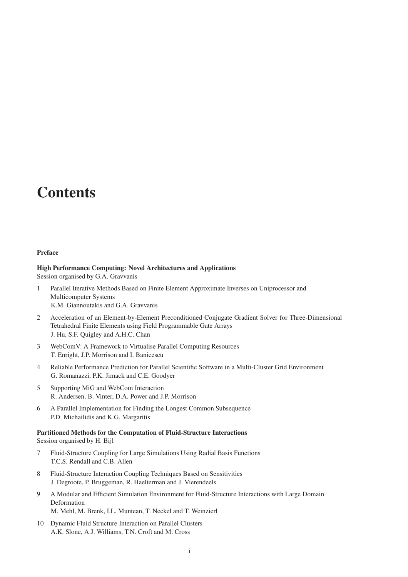# **Contents**

# **Preface**

**High Performance Computing: Novel Architectures and Applications** Session organised by G.A. Gravvanis

- 1 Parallel Iterative Methods Based on Finite Element Approximate Inverses on Uniprocessor and Multicomputer Systems K.M. Giannoutakis and G.A. Gravvanis
- 2 Acceleration of an Element-by-Element Preconditioned Conjugate Gradient Solver for Three-Dimensional Tetrahedral Finite Elements using Field Programmable Gate Arrays J. Hu, S.F. Quigley and A.H.C. Chan
- 3 WebComV: A Framework to Virtualise Parallel Computing Resources T. Enright, J.P. Morrison and I. Banicescu
- 4 Reliable Performance Prediction for Parallel Scientific Software in a Multi-Cluster Grid Environment G. Romanazzi, P.K. Jimack and C.E. Goodyer
- 5 Supporting MiG and WebCom Interaction R. Andersen, B. Vinter, D.A. Power and J.P. Morrison
- 6 A Parallel Implementation for Finding the Longest Common Subsequence P.D. Michailidis and K.G. Margaritis

# **Partitioned Methods for the Computation of Fluid-Structure Interactions**

Session organised by H. Bijl

- 7 Fluid-Structure Coupling for Large Simulations Using Radial Basis Functions T.C.S. Rendall and C.B. Allen
- 8 Fluid-Structure Interaction Coupling Techniques Based on Sensitivities J. Degroote, P. Bruggeman, R. Haelterman and J. Vierendeels
- 9 A Modular and Efficient Simulation Environment for Fluid-Structure Interactions with Large Domain Deformation M. Mehl, M. Brenk, I.L. Muntean, T. Neckel and T. Weinzierl
- 10 Dynamic Fluid Structure Interaction on Parallel Clusters A.K. Slone, A.J. Williams, T.N. Croft and M. Cross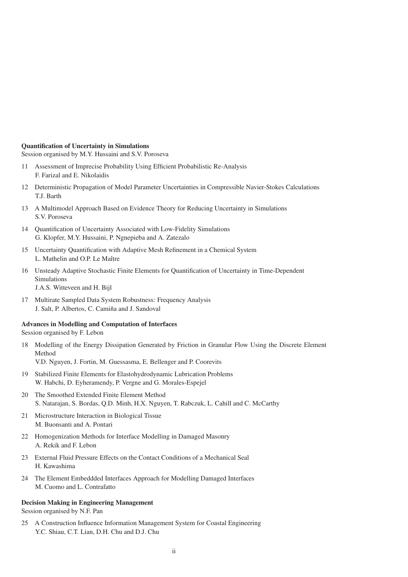#### **Quantification of Uncertainty in Simulations**

Session organised by M.Y. Hussaini and S.V. Poroseva

- 11 Assessment of Imprecise Probability Using Efficient Probabilistic Re-Analysis F. Farizal and E. Nikolaidis
- 12 Deterministic Propagation of Model Parameter Uncertainties in Compressible Navier-Stokes Calculations T.J. Barth
- 13 A Multimodel Approach Based on Evidence Theory for Reducing Uncertainty in Simulations S.V. Poroseva
- 14 Quantification of Uncertainty Associated with Low-Fidelity Simulations G. Klopfer, M.Y. Hussaini, P. Ngnepieba and A. Zatezalo
- 15 Uncertainty Quantification with Adaptive Mesh Refinement in a Chemical System L. Mathelin and O.P. Le Maître
- 16 Unsteady Adaptive Stochastic Finite Elements for Quantification of Uncertainty in Time-Dependent Simulations J.A.S. Witteveen and H. Bijl
- 17 Multirate Sampled Data System Robustness: Frequency Analysis J. Salt, P. Albertos, C. Camiña and J. Sandoval

# **Advances in Modelling and Computation of Interfaces**

Session organised by F. Lebon

18 Modelling of the Energy Dissipation Generated by Friction in Granular Flow Using the Discrete Element Method

V.D. Nguyen, J. Fortin, M. Guessasma, E. Bellenger and P. Coorevits

- 19 Stabilized Finite Elements for Elastohydrodynamic Lubrication Problems W. Habchi, D. Eyheramendy, P. Vergne and G. Morales-Espejel
- 20 The Smoothed Extended Finite Element Method S. Natarajan, S. Bordas, Q.D. Minh, H.X. Nguyen, T. Rabczuk, L. Cahill and C. McCarthy
- 21 Microstructure Interaction in Biological Tissue M. Buonsanti and A. Pontari
- 22 Homogenization Methods for Interface Modelling in Damaged Masonry A. Rekik and F. Lebon
- 23 External Fluid Pressure Effects on the Contact Conditions of a Mechanical Seal H. Kawashima
- 24 The Element Embeddded Interfaces Approach for Modelling Damaged Interfaces M. Cuomo and L. Contrafatto

# **Decision Making in Engineering Management**

Session organised by N.F. Pan

25 A Construction Influence Information Management System for Coastal Engineering Y.C. Shiau, C.T. Lian, D.H. Chu and D.J. Chu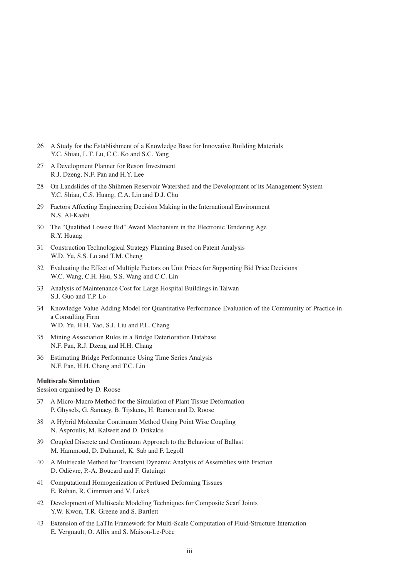- 26 A Study for the Establishment of a Knowledge Base for Innovative Building Materials Y.C. Shiau, L.T. Lu, C.C. Ko and S.C. Yang
- 27 A Development Planner for Resort Investment R.J. Dzeng, N.F. Pan and H.Y. Lee
- 28 On Landslides of the Shihmen Reservoir Watershed and the Development of its Management System Y.C. Shiau, C.S. Huang, C.A. Lin and D.J. Chu
- 29 Factors Affecting Engineering Decision Making in the International Environment N.S. Al-Kaabi
- 30 The "Qualified Lowest Bid" Award Mechanism in the Electronic Tendering Age R.Y. Huang
- 31 Construction Technological Strategy Planning Based on Patent Analysis W.D. Yu, S.S. Lo and T.M. Cheng
- 32 Evaluating the Effect of Multiple Factors on Unit Prices for Supporting Bid Price Decisions W.C. Wang, C.H. Hsu, S.S. Wang and C.C. Lin
- 33 Analysis of Maintenance Cost for Large Hospital Buildings in Taiwan S.J. Guo and T.P. Lo
- 34 Knowledge Value Adding Model for Quantitative Performance Evaluation of the Community of Practice in a Consulting Firm W.D. Yu, H.H. Yao, S.J. Liu and P.L. Chang
- 35 Mining Association Rules in a Bridge Deterioration Database N.F. Pan, R.J. Dzeng and H.H. Chang
- 36 Estimating Bridge Performance Using Time Series Analysis N.F. Pan, H.H. Chang and T.C. Lin

# **Multiscale Simulation**

Session organised by D. Roose

- 37 A Micro-Macro Method for the Simulation of Plant Tissue Deformation P. Ghysels, G. Samaey, B. Tijskens, H. Ramon and D. Roose
- 38 A Hybrid Molecular Continuum Method Using Point Wise Coupling N. Asproulis, M. Kalweit and D. Drikakis
- 39 Coupled Discrete and Continuum Approach to the Behaviour of Ballast M. Hammoud, D. Duhamel, K. Sab and F. Legoll
- 40 A Multiscale Method for Transient Dynamic Analysis of Assemblies with Friction D. Odièvre, P.-A. Boucard and F. Gatuingt
- 41 Computational Homogenization of Perfused Deforming Tissues E. Rohan, R. Cimrman and V. Lukeš
- 42 Development of Multiscale Modeling Techniques for Composite Scarf Joints Y.W. Kwon, T.R. Greene and S. Bartlett
- 43 Extension of the LaTIn Framework for Multi-Scale Computation of Fluid-Structure Interaction E. Vergnault, O. Allix and S. Maison-Le-Poëc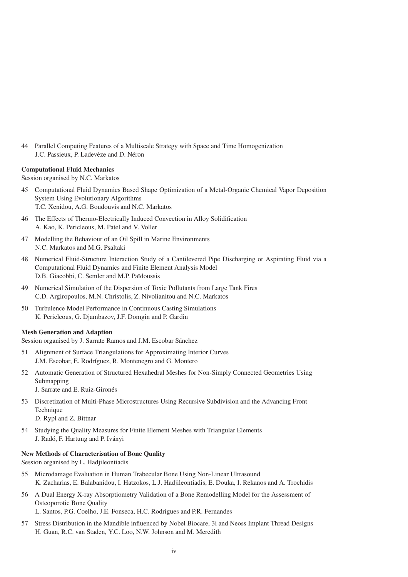44 Parallel Computing Features of a Multiscale Strategy with Space and Time Homogenization J.C. Passieux, P. Ladevèze and D. Néron

# **Computational Fluid Mechanics**

Session organised by N.C. Markatos

- 45 Computational Fluid Dynamics Based Shape Optimization of a Metal-Organic Chemical Vapor Deposition System Using Evolutionary Algorithms T.C. Xenidou, A.G. Boudouvis and N.C. Markatos
- 46 The Effects of Thermo-Electrically Induced Convection in Alloy Solidification A. Kao, K. Pericleous, M. Patel and V. Voller
- 47 Modelling the Behaviour of an Oil Spill in Marine Environments N.C. Markatos and M.G. Psaltaki
- 48 Numerical Fluid-Structure Interaction Study of a Cantilevered Pipe Discharging or Aspirating Fluid via a Computational Fluid Dynamics and Finite Element Analysis Model D.B. Giacobbi, C. Semler and M.P. Païdoussis
- 49 Numerical Simulation of the Dispersion of Toxic Pollutants from Large Tank Fires C.D. Argiropoulos, M.N. Christolis, Z. Nivolianitou and N.C. Markatos
- 50 Turbulence Model Performance in Continuous Casting Simulations K. Pericleous, G. Djambazov, J.F. Domgin and P. Gardin

# **Mesh Generation and Adaption**

Session organised by J. Sarrate Ramos and J.M. Escobar Sánchez

- 51 Alignment of Surface Triangulations for Approximating Interior Curves J.M. Escobar, E. Rodríguez, R. Montenegro and G. Montero
- 52 Automatic Generation of Structured Hexahedral Meshes for Non-Simply Connected Geometries Using Submapping
	- J. Sarrate and E. Ruiz-Gironés
- 53 Discretization of Multi-Phase Microstructures Using Recursive Subdivision and the Advancing Front Technique

D. Rypl and Z. Bittnar

54 Studying the Quality Measures for Finite Element Meshes with Triangular Elements J. Radó, F. Hartung and P. Iványi

# **New Methods of Characterisation of Bone Quality**

Session organised by L. Hadjileontiadis

- 55 Microdamage Evaluation in Human Trabecular Bone Using Non-Linear Ultrasound K. Zacharias, E. Balabanidou, I. Hatzokos, L.J. Hadjileontiadis, E. Douka, I. Rekanos and A. Trochidis
- 56 A Dual Energy X-ray Absorptiometry Validation of a Bone Remodelling Model for the Assessment of Osteoporotic Bone Quality L. Santos, P.G. Coelho, J.E. Fonseca, H.C. Rodrigues and P.R. Fernandes
- 57 Stress Distribution in the Mandible influenced by Nobel Biocare, 3i and Neoss Implant Thread Designs H. Guan, R.C. van Staden, Y.C. Loo, N.W. Johnson and M. Meredith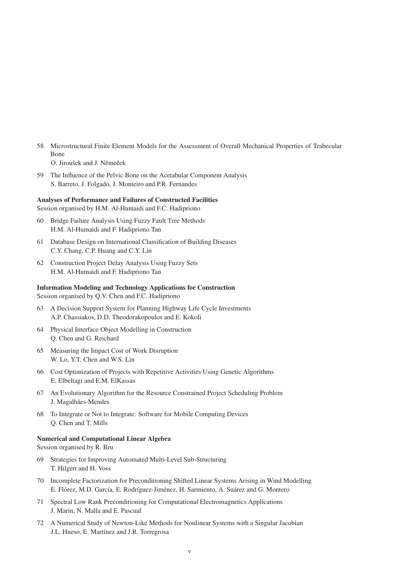- 58 Microstructural Finite Element Models for the Assessment of Overall Mechanical Properties of Trabecular Bone O. Jiroušek and J. Němeček
- 59 The Influence of the Pelvic Bone on the Acetabular Component Analysis S. Barreto, J. Folgado, J. Monteiro and P.R. Fernandes

#### **Analyses of Performance and Failures of Constructed Facilities**

Session organised by H.M. Al-Humaidi and F.C. Hadipriono

- 60 Bridge Failure Analysis Using Fuzzy Fault Tree Methods H.M. Al-Humaidi and F. Hadipriono Tan
- 61 Database Design on International Classification of Building Diseases C.Y. Chang, C.P. Huang and C.Y. Lin
- 62 Construction Project Delay Analysis Using Fuzzy Sets H.M. Al-Humaidi and F. Hadipriono Tan

# **Information Modeling and Technology Applications for Construction**

Session organised by Q.V. Chen and F.C. Hadipriono

- 63 A Decision Support System for Planning Highway Life Cycle Investments A.P. Chassiakos, D.D. Theodorakopoulos and E. Kokoli
- 64 Physical Interface Object Modelling in Construction Q. Chen and G. Reichard
- 65 Measuring the Impact Cost of Work Disruption W. Lo, Y.T. Chen and W.S. Lin
- 66 Cost Optimization of Projects with Repetitive Activities Using Genetic Algorithms E. Elbeltagi and E.M. ElKassas
- 67 An Evolutionary Algorithm for the Resource Constrained Project Scheduling Problem J. Magalhães-Mendes
- 68 To Integrate or Not to Integrate: Software for Mobile Computing Devices Q. Chen and T. Mills

#### **Numerical and Computational Linear Algebra**

Session organised by R. Bru

- 69 Strategies for Improving Automated Multi-Level Sub-Structuring T. Hilgert and H. Voss
- 70 Incomplete Factorization for Preconditioning Shifted Linear Systems Arising in Wind Modelling E. Flórez, M.D. García, E. Rodríguez-Jiménez, H. Sarmiento, A. Suárez and G. Montero
- 71 Spectral Low Rank Preconditioning for Computational Electromagnetics Applications J. Marin, N. Malla and E. Pascual
- 72 A Numerical Study of Newton-Like Methods for Nonlinear Systems with a Singular Jacobian J.L. Hueso, E. Martínez and J.R. Torregrosa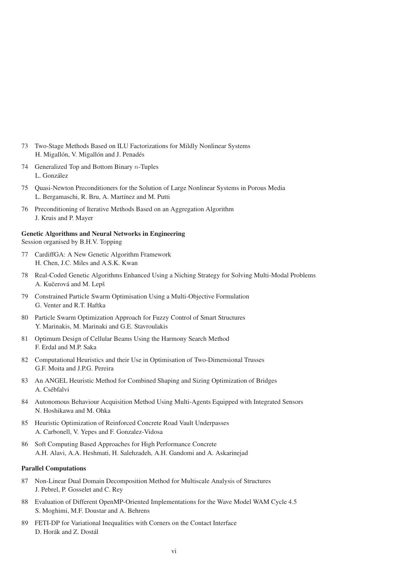- 73 Two-Stage Methods Based on ILU Factorizations for Mildly Nonlinear Systems H. Migallón, V. Migallón and J. Penadés
- 74 Generalized Top and Bottom Binary  $n$ -Tuples L. González
- 75 Quasi-Newton Preconditioners for the Solution of Large Nonlinear Systems in Porous Media L. Bergamaschi, R. Bru, A. Martínez and M. Putti
- 76 Preconditioning of Iterative Methods Based on an Aggregation Algorithm J. Kruis and P. Mayer

# **Genetic Algorithms and Neural Networks in Engineering** Session organised by B.H.V. Topping

- 77 CardiffGA: A New Genetic Algorithm Framework H. Chen, J.C. Miles and A.S.K. Kwan
- 78 Real-Coded Genetic Algorithms Enhanced Using a Niching Strategy for Solving Multi-Modal Problems A. Kučerová and M. Lepš
- 79 Constrained Particle Swarm Optimisation Using a Multi-Objective Formulation G. Venter and R.T. Haftka
- 80 Particle Swarm Optimization Approach for Fuzzy Control of Smart Structures Y. Marinakis, M. Marinaki and G.E. Stavroulakis
- 81 Optimum Design of Cellular Beams Using the Harmony Search Method F. Erdal and M.P. Saka
- 82 Computational Heuristics and their Use in Optimisation of Two-Dimensional Trusses G.F. Moita and J.P.G. Pereira
- 83 An ANGEL Heuristic Method for Combined Shaping and Sizing Optimization of Bridges A. Csébfalvi
- 84 Autonomous Behaviour Acquisition Method Using Multi-Agents Equipped with Integrated Sensors N. Hoshikawa and M. Ohka
- 85 Heuristic Optimization of Reinforced Concrete Road Vault Underpasses A. Carbonell, V. Yepes and F. Gonzalez-Vidosa
- 86 Soft Computing Based Approaches for High Performance Concrete A.H. Alavi, A.A. Heshmati, H. Salehzadeh, A.H. Gandomi and A. Askarinejad

# **Parallel Computations**

- 87 Non-Linear Dual Domain Decomposition Method for Multiscale Analysis of Structures J. Pebrel, P. Gosselet and C. Rey
- 88 Evaluation of Different OpenMP-Oriented Implementations for the Wave Model WAM Cycle 4.5 S. Moghimi, M.F. Doustar and A. Behrens
- 89 FETI-DP for Variational Inequalities with Corners on the Contact Interface D. Horák and Z. Dostál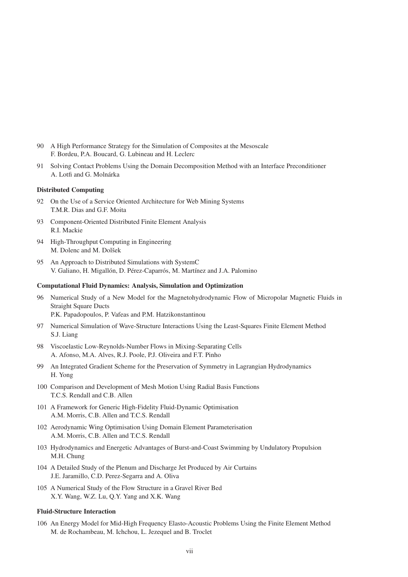- 90 A High Performance Strategy for the Simulation of Composites at the Mesoscale F. Bordeu, P.A. Boucard, G. Lubineau and H. Leclerc
- 91 Solving Contact Problems Using the Domain Decomposition Method with an Interface Preconditioner A. Lotfi and G. Molnárka

# **Distributed Computing**

- 92 On the Use of a Service Oriented Architecture for Web Mining Systems T.M.R. Dias and G.F. Moita
- 93 Component-Oriented Distributed Finite Element Analysis R.I. Mackie
- 94 High-Throughput Computing in Engineering M. Dolenc and M. Dolšek
- 95 An Approach to Distributed Simulations with SystemC V. Galiano, H. Migallón, D. Pérez-Caparrós, M. Martínez and J.A. Palomino

# **Computational Fluid Dynamics: Analysis, Simulation and Optimization**

- 96 Numerical Study of a New Model for the Magnetohydrodynamic Flow of Micropolar Magnetic Fluids in Straight Square Ducts P.K. Papadopoulos, P. Vafeas and P.M. Hatzikonstantinou
- 97 Numerical Simulation of Wave-Structure Interactions Using the Least-Squares Finite Element Method S.J. Liang
- 98 Viscoelastic Low-Reynolds-Number Flows in Mixing-Separating Cells A. Afonso, M.A. Alves, R.J. Poole, P.J. Oliveira and F.T. Pinho
- 99 An Integrated Gradient Scheme for the Preservation of Symmetry in Lagrangian Hydrodynamics H. Yong
- 100 Comparison and Development of Mesh Motion Using Radial Basis Functions T.C.S. Rendall and C.B. Allen
- 101 A Framework for Generic High-Fidelity Fluid-Dynamic Optimisation A.M. Morris, C.B. Allen and T.C.S. Rendall
- 102 Aerodynamic Wing Optimisation Using Domain Element Parameterisation A.M. Morris, C.B. Allen and T.C.S. Rendall
- 103 Hydrodynamics and Energetic Advantages of Burst-and-Coast Swimming by Undulatory Propulsion M.H. Chung
- 104 A Detailed Study of the Plenum and Discharge Jet Produced by Air Curtains J.E. Jaramillo, C.D. Perez-Segarra and A. Oliva
- 105 A Numerical Study of the Flow Structure in a Gravel River Bed X.Y. Wang, W.Z. Lu, Q.Y. Yang and X.K. Wang

# **Fluid-Structure Interaction**

106 An Energy Model for Mid-High Frequency Elasto-Acoustic Problems Using the Finite Element Method M. de Rochambeau, M. Ichchou, L. Jezequel and B. Troclet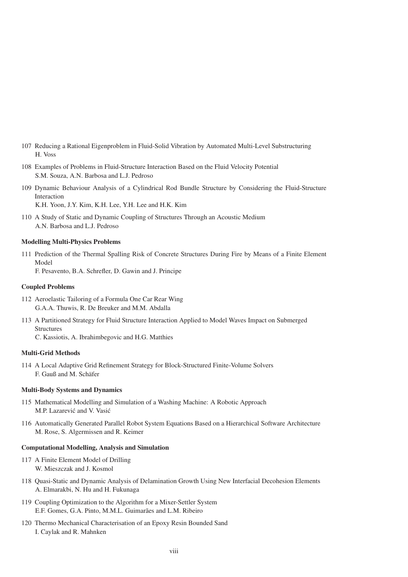- 107 Reducing a Rational Eigenproblem in Fluid-Solid Vibration by Automated Multi-Level Substructuring H. Voss
- 108 Examples of Problems in Fluid-Structure Interaction Based on the Fluid Velocity Potential S.M. Souza, A.N. Barbosa and L.J. Pedroso
- 109 Dynamic Behaviour Analysis of a Cylindrical Rod Bundle Structure by Considering the Fluid-Structure Interaction K.H. Yoon, J.Y. Kim, K.H. Lee, Y.H. Lee and H.K. Kim

110 A Study of Static and Dynamic Coupling of Structures Through an Acoustic Medium

A.N. Barbosa and L.J. Pedroso

# **Modelling Multi-Physics Problems**

111 Prediction of the Thermal Spalling Risk of Concrete Structures During Fire by Means of a Finite Element Model F. Pesavento, B.A. Schrefler, D. Gawin and J. Principe

# **Coupled Problems**

- 112 Aeroelastic Tailoring of a Formula One Car Rear Wing G.A.A. Thuwis, R. De Breuker and M.M. Abdalla
- 113 A Partitioned Strategy for Fluid Structure Interaction Applied to Model Waves Impact on Submerged **Structures**

C. Kassiotis, A. Ibrahimbegovic and H.G. Matthies

# **Multi-Grid Methods**

114 A Local Adaptive Grid Refinement Strategy for Block-Structured Finite-Volume Solvers F. Gauß and M. Schäfer

# **Multi-Body Systems and Dynamics**

- 115 Mathematical Modelling and Simulation of a Washing Machine: A Robotic Approach M.P. Lazarević and V. Vasić
- 116 Automatically Generated Parallel Robot System Equations Based on a Hierarchical Software Architecture M. Rose, S. Algermissen and R. Keimer

# **Computational Modelling, Analysis and Simulation**

- 117 A Finite Element Model of Drilling W. Mieszczak and J. Kosmol
- 118 Quasi-Static and Dynamic Analysis of Delamination Growth Using New Interfacial Decohesion Elements A. Elmarakbi, N. Hu and H. Fukunaga
- 119 Coupling Optimization to the Algorithm for a Mixer-Settler System E.F. Gomes, G.A. Pinto, M.M.L. Guimarães and L.M. Ribeiro
- 120 Thermo Mechanical Characterisation of an Epoxy Resin Bounded Sand I. Caylak and R. Mahnken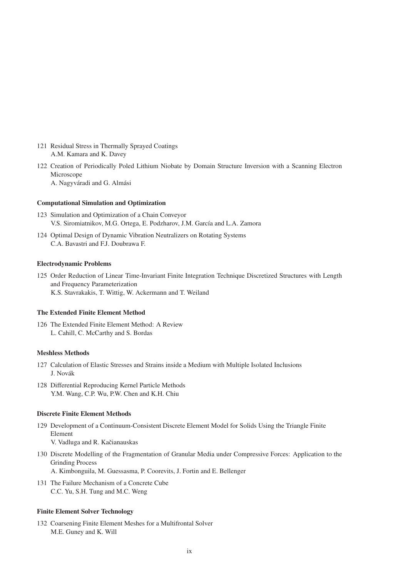- 121 Residual Stress in Thermally Sprayed Coatings A.M. Kamara and K. Davey
- 122 Creation of Periodically Poled Lithium Niobate by Domain Structure Inversion with a Scanning Electron Microscope A. Nagyváradi and G. Almási

#### **Computational Simulation and Optimization**

- 123 Simulation and Optimization of a Chain Conveyor V.S. Siromiatnikov, M.G. Ortega, E. Podzharov, J.M. García and L.A. Zamora
- 124 Optimal Design of Dynamic Vibration Neutralizers on Rotating Systems C.A. Bavastri and F.J. Doubrawa F.

#### **Electrodynamic Problems**

125 Order Reduction of Linear Time-Invariant Finite Integration Technique Discretized Structures with Length and Frequency Parameterization K.S. Stavrakakis, T. Wittig, W. Ackermann and T. Weiland

#### **The Extended Finite Element Method**

126 The Extended Finite Element Method: A Review L. Cahill, C. McCarthy and S. Bordas

#### **Meshless Methods**

- 127 Calculation of Elastic Stresses and Strains inside a Medium with Multiple Isolated Inclusions J. Novák
- 128 Differential Reproducing Kernel Particle Methods Y.M. Wang, C.P. Wu, P.W. Chen and K.H. Chiu

#### **Discrete Finite Element Methods**

- 129 Development of a Continuum-Consistent Discrete Element Model for Solids Using the Triangle Finite Element V. Vadluga and R. Kačianauskas
- 130 Discrete Modelling of the Fragmentation of Granular Media under Compressive Forces: Application to the Grinding Process A. Kimbonguila, M. Guessasma, P. Coorevits, J. Fortin and E. Bellenger
- 131 The Failure Mechanism of a Concrete Cube C.C. Yu, S.H. Tung and M.C. Weng

#### **Finite Element Solver Technology**

132 Coarsening Finite Element Meshes for a Multifrontal Solver M.E. Guney and K. Will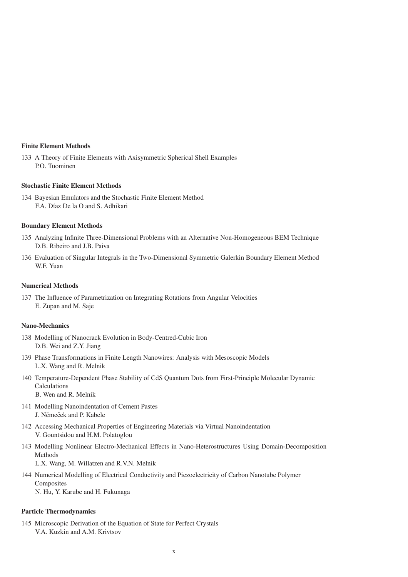#### **Finite Element Methods**

133 A Theory of Finite Elements with Axisymmetric Spherical Shell Examples P.O. Tuominen

# **Stochastic Finite Element Methods**

134 Bayesian Emulators and the Stochastic Finite Element Method F.A. Díaz De la O and S. Adhikari

# **Boundary Element Methods**

- 135 Analyzing Infinite Three-Dimensional Problems with an Alternative Non-Homogeneous BEM Technique D.B. Ribeiro and J.B. Paiva
- 136 Evaluation of Singular Integrals in the Two-Dimensional Symmetric Galerkin Boundary Element Method W.F. Yuan

#### **Numerical Methods**

137 The Influence of Parametrization on Integrating Rotations from Angular Velocities E. Zupan and M. Saje

#### **Nano-Mechanics**

- 138 Modelling of Nanocrack Evolution in Body-Centred-Cubic Iron D.B. Wei and Z.Y. Jiang
- 139 Phase Transformations in Finite Length Nanowires: Analysis with Mesoscopic Models L.X. Wang and R. Melnik
- 140 Temperature-Dependent Phase Stability of CdS Quantum Dots from First-Principle Molecular Dynamic Calculations B. Wen and R. Melnik
- 141 Modelling Nanoindentation of Cement Pastes J. Němeček and P. Kabele
- 142 Accessing Mechanical Properties of Engineering Materials via Virtual Nanoindentation V. Gountsidou and H.M. Polatoglou
- 143 Modelling Nonlinear Electro-Mechanical Effects in Nano-Heterostructures Using Domain-Decomposition Methods

L.X. Wang, M. Willatzen and R.V.N. Melnik

144 Numerical Modelling of Electrical Conductivity and Piezoelectricity of Carbon Nanotube Polymer Composites

N. Hu, Y. Karube and H. Fukunaga

# **Particle Thermodynamics**

145 Microscopic Derivation of the Equation of State for Perfect Crystals V.A. Kuzkin and A.M. Krivtsov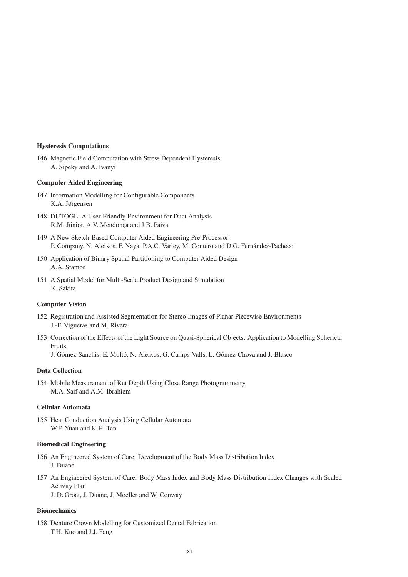#### **Hysteresis Computations**

146 Magnetic Field Computation with Stress Dependent Hysteresis A. Sipeky and A. Ivanyi

#### **Computer Aided Engineering**

- 147 Information Modelling for Configurable Components K.A. Jørgensen
- 148 DUTOGL: A User-Friendly Environment for Duct Analysis R.M. Júnior, A.V. Mendonça and J.B. Paiva
- 149 A New Sketch-Based Computer Aided Engineering Pre-Processor P. Company, N. Aleixos, F. Naya, P.A.C. Varley, M. Contero and D.G. Fernández-Pacheco
- 150 Application of Binary Spatial Partitioning to Computer Aided Design A.A. Stamos
- 151 A Spatial Model for Multi-Scale Product Design and Simulation K. Sakita

### **Computer Vision**

- 152 Registration and Assisted Segmentation for Stereo Images of Planar Piecewise Environments J.-F. Vigueras and M. Rivera
- 153 Correction of the Effects of the Light Source on Quasi-Spherical Objects: Application to Modelling Spherical Fruits

J. Gómez-Sanchis, E. Moltó, N. Aleixos, G. Camps-Valls, L. Gómez-Chova and J. Blasco

### **Data Collection**

154 Mobile Measurement of Rut Depth Using Close Range Photogrammetry M.A. Saif and A.M. Ibrahiem

#### **Cellular Automata**

155 Heat Conduction Analysis Using Cellular Automata W.F. Yuan and K.H. Tan

#### **Biomedical Engineering**

- 156 An Engineered System of Care: Development of the Body Mass Distribution Index J. Duane
- 157 An Engineered System of Care: Body Mass Index and Body Mass Distribution Index Changes with Scaled Activity Plan

J. DeGroat, J. Duane, J. Moeller and W. Conway

# **Biomechanics**

158 Denture Crown Modelling for Customized Dental Fabrication T.H. Kuo and J.J. Fang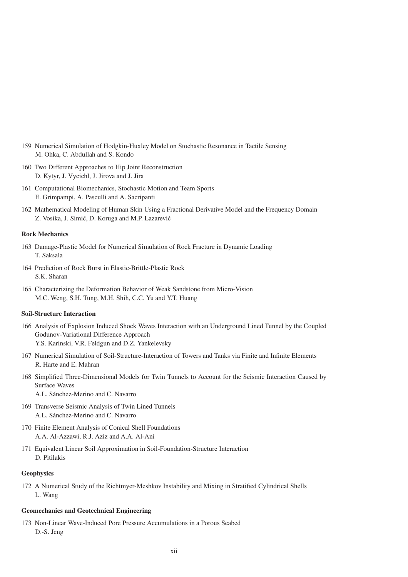- 159 Numerical Simulation of Hodgkin-Huxley Model on Stochastic Resonance in Tactile Sensing M. Ohka, C. Abdullah and S. Kondo
- 160 Two Different Approaches to Hip Joint Reconstruction D. Kytyr, J. Vycichl, J. Jirova and J. Jira
- 161 Computational Biomechanics, Stochastic Motion and Team Sports E. Grimpampi, A. Pasculli and A. Sacripanti
- 162 Mathematical Modeling of Human Skin Using a Fractional Derivative Model and the Frequency Domain Z. Vosika, J. Simić, D. Koruga and M.P. Lazarević

# **Rock Mechanics**

- 163 Damage-Plastic Model for Numerical Simulation of Rock Fracture in Dynamic Loading T. Saksala
- 164 Prediction of Rock Burst in Elastic-Brittle-Plastic Rock S.K. Sharan
- 165 Characterizing the Deformation Behavior of Weak Sandstone from Micro-Vision M.C. Weng, S.H. Tung, M.H. Shih, C.C. Yu and Y.T. Huang

# **Soil-Structure Interaction**

- 166 Analysis of Explosion Induced Shock Waves Interaction with an Underground Lined Tunnel by the Coupled Godunov-Variational Difference Approach Y.S. Karinski, V.R. Feldgun and D.Z. Yankelevsky
- 167 Numerical Simulation of Soil-Structure-Interaction of Towers and Tanks via Finite and Infinite Elements R. Harte and E. Mahran
- 168 Simplified Three-Dimensional Models for Twin Tunnels to Account for the Seismic Interaction Caused by Surface Waves A.L. Sánchez-Merino and C. Navarro
- 169 Transverse Seismic Analysis of Twin Lined Tunnels A.L. Sánchez-Merino and C. Navarro
- 170 Finite Element Analysis of Conical Shell Foundations A.A. Al-Azzawi, R.J. Aziz and A.A. Al-Ani
- 171 Equivalent Linear Soil Approximation in Soil-Foundation-Structure Interaction D. Pitilakis

# **Geophysics**

172 A Numerical Study of the Richtmyer-Meshkov Instability and Mixing in Stratified Cylindrical Shells L. Wang

# **Geomechanics and Geotechnical Engineering**

173 Non-Linear Wave-Induced Pore Pressure Accumulations in a Porous Seabed D.-S. Jeng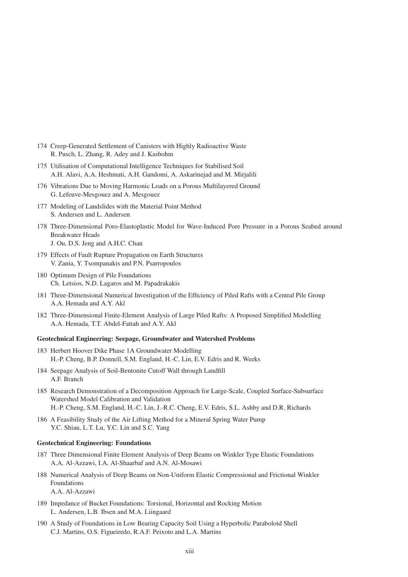- 174 Creep-Generated Settlement of Canisters with Highly Radioactive Waste R. Pusch, L. Zhang, R. Adey and J. Kasbohm
- 175 Utilisation of Computational Intelligence Techniques for Stabilised Soil A.H. Alavi, A.A. Heshmati, A.H. Gandomi, A. Askarinejad and M. Mirjalili
- 176 Vibrations Due to Moving Harmonic Loads on a Porous Multilayered Ground G. Lefeuve-Mesgouez and A. Mesgouez
- 177 Modeling of Landslides with the Material Point Method S. Andersen and L. Andersen
- 178 Three-Dimensional Poro-Elastoplastic Model for Wave-Induced Pore Pressure in a Porous Seabed around Breakwater Heads J. Ou, D.S. Jeng and A.H.C. Chan
- 179 Effects of Fault Rupture Propagation on Earth Structures V. Zania, Y. Tsompanakis and P.N. Psarropoulos
- 180 Optimum Design of Pile Foundations Ch. Letsios, N.D. Lagaros and M. Papadrakakis
- 181 Three-Dimensional Numerical Investigation of the Efficiency of Piled Rafts with a Central Pile Group A.A. Hemada and A.Y. Akl
- 182 Three-Dimensional Finite-Element Analysis of Large Piled Rafts: A Proposed Simplified Modelling A.A. Hemada, T.T. Abdel-Fattah and A.Y. Akl

#### **Geotechnical Engineering: Seepage, Groundwater and Watershed Problems**

- 183 Herbert Hoover Dike Phase 1A Groundwater Modelling H.-P. Cheng, B.P. Donnell, S.M. England, H.-C. Lin, E.V. Edris and R. Weeks
- 184 Seepage Analysis of Soil-Bentonite Cutoff Wall through Landfill A.F. Branch
- 185 Research Demonstration of a Decomposition Approach for Large-Scale, Coupled Surface-Subsurface Watershed Model Calibration and Validation H.-P. Cheng, S.M. England, H.-C. Lin, J.-R.C. Cheng, E.V. Edris, S.L. Ashby and D.R. Richards
- 186 A Feasibility Study of the Air Lifting Method for a Mineral Spring Water Pump Y.C. Shiau, L.T. Lu, Y.C. Lin and S.C. Yang

#### **Geotechnical Engineering: Foundations**

- 187 Three Dimensional Finite Element Analysis of Deep Beams on Winkler Type Elastic Foundations A.A. Al-Azzawi, I.A. Al-Shaarbaf and A.N. Al-Mosawi
- 188 Numerical Analysis of Deep Beams on Non-Uniform Elastic Compressional and Frictional Winkler Foundations A.A. Al-Azzawi
- 189 Impedance of Bucket Foundations: Torsional, Horizontal and Rocking Motion L. Andersen, L.B. Ibsen and M.A. Liingaard
- 190 A Study of Foundations in Low Bearing Capacity Soil Using a Hyperbolic Paraboloid Shell C.J. Martins, O.S. Figueiredo, R.A.F. Peixoto and L.A. Martins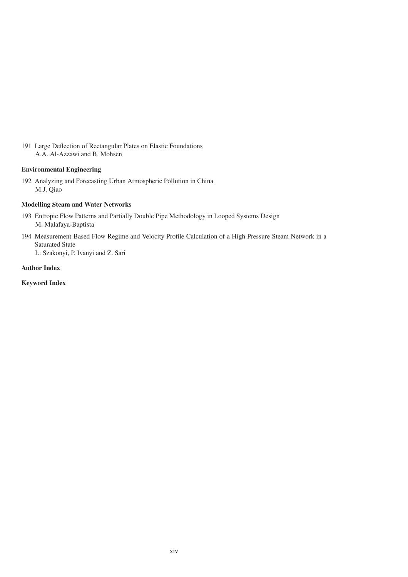191 Large Deflection of Rectangular Plates on Elastic Foundations A.A. Al-Azzawi and B. Mohsen

# **Environmental Engineering**

192 Analyzing and Forecasting Urban Atmospheric Pollution in China M.J. Qiao

# **Modelling Steam and Water Networks**

- 193 Entropic Flow Patterns and Partially Double Pipe Methodology in Looped Systems Design M. Malafaya-Baptista
- 194 Measurement Based Flow Regime and Velocity Profile Calculation of a High Pressure Steam Network in a Saturated State

L. Szakonyi, P. Ivanyi and Z. Sari

# **Author Index**

**Keyword Index**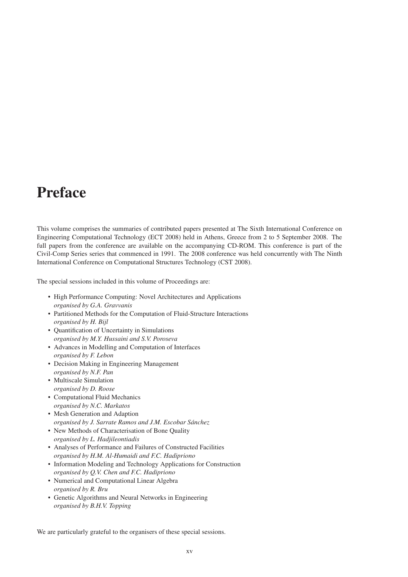# **Preface**

This volume comprises the summaries of contributed papers presented at The Sixth International Conference on Engineering Computational Technology (ECT 2008) held in Athens, Greece from 2 to 5 September 2008. The full papers from the conference are available on the accompanying CD-ROM. This conference is part of the Civil-Comp Series series that commenced in 1991. The 2008 conference was held concurrently with The Ninth International Conference on Computational Structures Technology (CST 2008).

The special sessions included in this volume of Proceedings are:

- High Performance Computing: Novel Architectures and Applications *organised by G.A. Gravvanis*
- Partitioned Methods for the Computation of Fluid-Structure Interactions *organised by H. Bijl*
- Quantification of Uncertainty in Simulations *organised by M.Y. Hussaini and S.V. Poroseva*
- Advances in Modelling and Computation of Interfaces *organised by F. Lebon*
- Decision Making in Engineering Management *organised by N.F. Pan*
- Multiscale Simulation *organised by D. Roose*
- Computational Fluid Mechanics *organised by N.C. Markatos*
- Mesh Generation and Adaption *organised by J. Sarrate Ramos and J.M. Escobar Sánchez*
- New Methods of Characterisation of Bone Quality *organised by L. Hadjileontiadis*
- Analyses of Performance and Failures of Constructed Facilities *organised by H.M. Al-Humaidi and F.C. Hadipriono*
- Information Modeling and Technology Applications for Construction *organised by Q.V. Chen and F.C. Hadipriono*
- Numerical and Computational Linear Algebra *organised by R. Bru*
- Genetic Algorithms and Neural Networks in Engineering *organised by B.H.V. Topping*

We are particularly grateful to the organisers of these special sessions.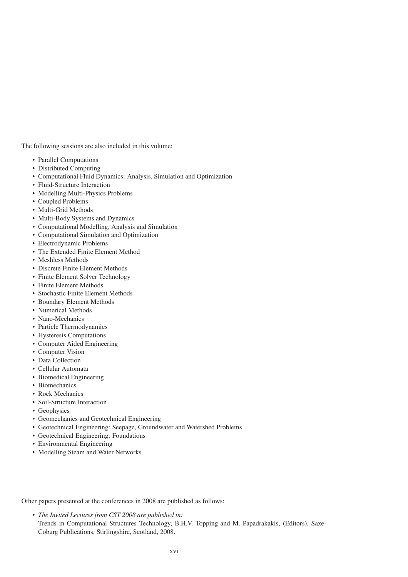The following sessions are also included in this volume:

- Parallel Computations
- Distributed Computing
- Computational Fluid Dynamics: Analysis, Simulation and Optimization
- Fluid-Structure Interaction
- Modelling Multi-Physics Problems
- Coupled Problems
- Multi-Grid Methods
- Multi-Body Systems and Dynamics
- Computational Modelling, Analysis and Simulation
- Computational Simulation and Optimization
- Electrodynamic Problems
- The Extended Finite Element Method
- Meshless Methods
- Discrete Finite Element Methods
- Finite Element Solver Technology
- Finite Element Methods
- Stochastic Finite Element Methods
- Boundary Element Methods
- Numerical Methods
- Nano-Mechanics
- Particle Thermodynamics
- Hysteresis Computations
- Computer Aided Engineering
- Computer Vision
- Data Collection
- Cellular Automata
- Biomedical Engineering
- Biomechanics
- Rock Mechanics
- Soil-Structure Interaction
- Geophysics
- Geomechanics and Geotechnical Engineering
- Geotechnical Engineering: Seepage, Groundwater and Watershed Problems
- Geotechnical Engineering: Foundations
- Environmental Engineering
- Modelling Steam and Water Networks

Other papers presented at the conferences in 2008 are published as follows:

• *The Invited Lectures from CST 2008 are published in:* Trends in Computational Structures Technology, B.H.V. Topping and M. Papadrakakis, (Editors), Saxe-Coburg Publications, Stirlingshire, Scotland, 2008.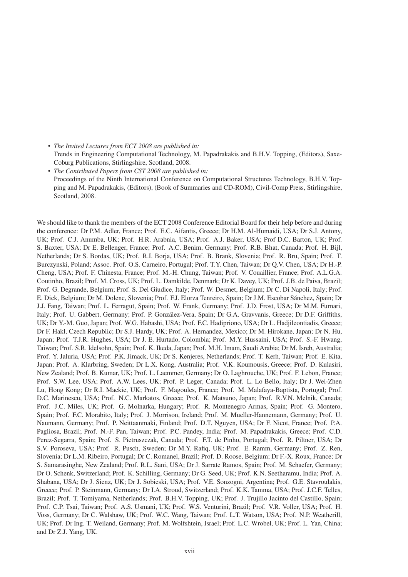- *The Invited Lectures from ECT 2008 are published in:* Trends in Engineering Computational Technology, M. Papadrakakis and B.H.V. Topping, (Editors), Saxe-Coburg Publications, Stirlingshire, Scotland, 2008.
- *The Contributed Papers from CST 2008 are published in:* Proceedings of the Ninth International Conference on Computational Structures Technology, B.H.V. Topping and M. Papadrakakis, (Editors), (Book of Summaries and CD-ROM), Civil-Comp Press, Stirlingshire, Scotland, 2008.

We should like to thank the members of the ECT 2008 Conference Editorial Board for their help before and during the conference: Dr P.M. Adler, France; Prof. E.C. Aifantis, Greece; Dr H.M. Al-Humaidi, USA; Dr S.J. Antony, UK; Prof. C.J. Anumba, UK; Prof. H.R. Arabnia, USA; Prof. A.J. Baker, USA; Prof D.C. Barton, UK; Prof. S. Baxter, USA; Dr E. Bellenger, France; Prof. A.C. Benim, Germany; Prof. R.B. Bhat, Canada; Prof. H. Bijl, Netherlands; Dr S. Bordas, UK; Prof. R.I. Borja, USA; Prof. B. Brank, Slovenia; Prof. R. Bru, Spain; Prof. T. Burczynski, Poland; Assoc. Prof. O.S. Carneiro, Portugal; Prof. T.Y. Chen, Taiwan; Dr Q.V. Chen, USA; Dr H.-P. Cheng, USA; Prof. F. Chinesta, France; Prof. M.-H. Chung, Taiwan; Prof. V. Couaillier, France; Prof. A.L.G.A. Coutinho, Brazil; Prof. M. Cross, UK; Prof. L. Damkilde, Denmark; Dr K. Davey, UK; Prof. J.B. de Paiva, Brazil; Prof. G. Degrande, Belgium; Prof. S. Del Giudice, Italy; Prof. W. Desmet, Belgium; Dr C. Di Napoli, Italy; Prof. E. Dick, Belgium; Dr M. Dolenc, Slovenia; Prof. F.J. Elorza Tenreiro, Spain; Dr J.M. Escobar Sánchez, Spain; Dr J.J. Fang, Taiwan; Prof. L. Ferragut, Spain; Prof. W. Frank, Germany; Prof. J.D. Frost, USA; Dr M.M. Furnari, Italy; Prof. U. Gabbert, Germany; Prof. P. González-Vera, Spain; Dr G.A. Gravvanis, Greece; Dr D.F. Griffiths, UK; Dr Y.-M. Guo, Japan; Prof. W.G. Habashi, USA; Prof. F.C. Hadipriono, USA; Dr L. Hadjileontiadis, Greece; Dr F. Hakl, Czech Republic; Dr S.J. Hardy, UK; Prof. A. Hernandez, Mexico; Dr M. Hirokane, Japan; Dr N. Hu, Japan; Prof. T.J.R. Hughes, USA; Dr J. E. Hurtado, Colombia; Prof. M.Y. Hussaini, USA; Prof. S.-F. Hwang, Taiwan; Prof. S.R. Idelsohn, Spain; Prof. K. Ikeda, Japan; Prof. M.H. Imam, Saudi Arabia; Dr M. Isreb, Australia; Prof. Y. Jaluria, USA; Prof. P.K. Jimack, UK; Dr S. Kenjeres, Netherlands; Prof. T. Kerh, Taiwan; Prof. E. Kita, Japan; Prof. A. Klarbring, Sweden; Dr L.X. Kong, Australia; Prof. V.K. Koumousis, Greece; Prof. D. Kulasiri, New Zealand; Prof. B. Kumar, UK; Prof. L. Laemmer, Germany; Dr O. Laghrouche, UK; Prof. F. Lebon, France; Prof. S.W. Lee, USA; Prof. A.W. Lees, UK; Prof. P. Leger, Canada; Prof. L. Lo Bello, Italy; Dr J. Wei-Zhen Lu, Hong Kong; Dr R.I. Mackie, UK; Prof. F. Magoules, France; Prof. M. Malafaya-Baptista, Portugal; Prof. D.C. Marinescu, USA; Prof. N.C. Markatos, Greece; Prof. K. Matsuno, Japan; Prof. R.V.N. Melnik, Canada; Prof. J.C. Miles, UK; Prof. G. Molnarka, Hungary; Prof. R. Montenegro Armas, Spain; Prof. G. Montero, Spain; Prof. F.C. Morabito, Italy; Prof. J. Morrison, Ireland; Prof. M. Mueller-Hannemann, Germany; Prof. U. Naumann, Germany; Prof. P. Neittaanmaki, Finland; Prof. D.T. Nguyen, USA; Dr F. Nicot, France; Prof. P.A. Pagliosa, Brazil; Prof. N.-F. Pan, Taiwan; Prof. P.C. Pandey, India; Prof. M. Papadrakakis, Greece; Prof. C.D. Perez-Segarra, Spain; Prof. S. Pietruszczak, Canada; Prof. F.T. de Pinho, Portugal; Prof. R. Piltner, USA; Dr S.V. Poroseva, USA; Prof. R. Pusch, Sweden; Dr M.Y. Rafiq, UK; Prof. E. Ramm, Germany; Prof. Z. Ren, Slovenia; Dr L.M. Ribeiro, Portugal; Dr C. Romanel, Brazil; Prof. D. Roose, Belgium; Dr F.-X. Roux, France; Dr S. Samarasinghe, New Zealand; Prof. R.L. Sani, USA; Dr J. Sarrate Ramos, Spain; Prof. M. Schaefer, Germany; Dr O. Schenk, Switzerland; Prof. K. Schilling, Germany; Dr G. Seed, UK; Prof. K.N. Seetharamu, India; Prof. A. Shabana, USA; Dr J. Sienz, UK; Dr J. Sobieski, USA; Prof. V.E. Sonzogni, Argentina; Prof. G.E. Stavroulakis, Greece; Prof. P. Steinmann, Germany; Dr I.A. Stroud, Switzerland; Prof. K.K. Tamma, USA; Prof. J.C.F. Telles, Brazil; Prof. T. Tomiyama, Netherlands; Prof. B.H.V. Topping, UK; Prof. J. Trujillo Jacinto del Castillo, Spain; Prof. C.P. Tsai, Taiwan; Prof. A.S. Usmani, UK; Prof. W.S. Venturini, Brazil; Prof. V.R. Voller, USA; Prof. H. Voss, Germany; Dr C. Walshaw, UK; Prof. W.C. Wang, Taiwan; Prof. L.T. Watson, USA; Prof. N.P. Weatherill, UK; Prof. Dr Ing. T. Weiland, Germany; Prof. M. Wolfshtein, Israel; Prof. L.C. Wrobel, UK; Prof. L. Yan, China; and Dr Z.J. Yang, UK.